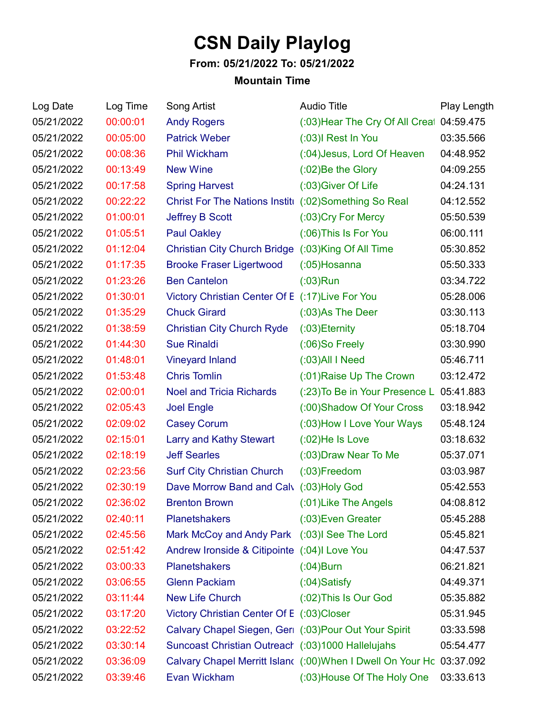## **CSN Daily Playlog**

## **From: 05/21/2022 To: 05/21/2022**

## **Mountain Time**

| Log Date   | Log Time | Song Artist                                            | <b>Audio Title</b>                                                    | Play Length |
|------------|----------|--------------------------------------------------------|-----------------------------------------------------------------------|-------------|
| 05/21/2022 | 00:00:01 | <b>Andy Rogers</b>                                     | (:03) Hear The Cry Of All Creat 04:59.475                             |             |
| 05/21/2022 | 00:05:00 | <b>Patrick Weber</b>                                   | (:03)I Rest In You                                                    | 03:35.566   |
| 05/21/2022 | 00:08:36 | Phil Wickham                                           | (:04) Jesus, Lord Of Heaven                                           | 04:48.952   |
| 05/21/2022 | 00:13:49 | <b>New Wine</b>                                        | $(0.02)$ Be the Glory                                                 | 04:09.255   |
| 05/21/2022 | 00:17:58 | <b>Spring Harvest</b>                                  | (:03) Giver Of Life                                                   | 04:24.131   |
| 05/21/2022 | 00:22:22 | Christ For The Nations Institi (:02) Something So Real |                                                                       | 04:12.552   |
| 05/21/2022 | 01:00:01 | <b>Jeffrey B Scott</b>                                 | (:03) Cry For Mercy                                                   | 05:50.539   |
| 05/21/2022 | 01:05:51 | <b>Paul Oakley</b>                                     | (:06) This Is For You                                                 | 06:00.111   |
| 05/21/2022 | 01:12:04 | Christian City Church Bridge (:03)King Of All Time     |                                                                       | 05:30.852   |
| 05/21/2022 | 01:17:35 | <b>Brooke Fraser Ligertwood</b>                        | $(0.05)$ Hosanna                                                      | 05:50.333   |
| 05/21/2022 | 01:23:26 | <b>Ben Cantelon</b>                                    | $(03)$ Run                                                            | 03:34.722   |
| 05/21/2022 | 01:30:01 | Victory Christian Center Of E (:17) Live For You       |                                                                       | 05:28.006   |
| 05/21/2022 | 01:35:29 | <b>Chuck Girard</b>                                    | $(0.03)$ As The Deer                                                  | 03:30.113   |
| 05/21/2022 | 01:38:59 | <b>Christian City Church Ryde</b>                      | $(0.03)$ Eternity                                                     | 05:18.704   |
| 05/21/2022 | 01:44:30 | <b>Sue Rinaldi</b>                                     | $(0.06)$ So Freely                                                    | 03:30.990   |
| 05/21/2022 | 01:48:01 | <b>Vineyard Inland</b>                                 | $(0.03)$ All I Need                                                   | 05:46.711   |
| 05/21/2022 | 01:53:48 | <b>Chris Tomlin</b>                                    | (:01) Raise Up The Crown                                              | 03:12.472   |
| 05/21/2022 | 02:00:01 | <b>Noel and Tricia Richards</b>                        | (:23) To Be in Your Presence L 05:41.883                              |             |
| 05/21/2022 | 02:05:43 | <b>Joel Engle</b>                                      | (:00) Shadow Of Your Cross                                            | 03:18.942   |
| 05/21/2022 | 02:09:02 | <b>Casey Corum</b>                                     | (:03) How I Love Your Ways                                            | 05:48.124   |
| 05/21/2022 | 02:15:01 | <b>Larry and Kathy Stewart</b>                         | $(0.02)$ He Is Love                                                   | 03:18.632   |
| 05/21/2022 | 02:18:19 | <b>Jeff Searles</b>                                    | (:03) Draw Near To Me                                                 | 05:37.071   |
| 05/21/2022 | 02:23:56 | <b>Surf City Christian Church</b>                      | $(0.03)$ Freedom                                                      | 03:03.987   |
| 05/21/2022 | 02:30:19 | Dave Morrow Band and Calv (:03) Holy God               |                                                                       | 05:42.553   |
| 05/21/2022 | 02:36:02 | <b>Brenton Brown</b>                                   | (:01) Like The Angels                                                 | 04:08.812   |
| 05/21/2022 | 02:40:11 | <b>Planetshakers</b>                                   | (:03) Even Greater                                                    | 05:45.288   |
| 05/21/2022 | 02:45:56 | Mark McCoy and Andy Park (:03)I See The Lord           |                                                                       | 05:45.821   |
| 05/21/2022 | 02:51:42 | Andrew Ironside & Citipointe (:04)I Love You           |                                                                       | 04:47.537   |
| 05/21/2022 | 03:00:33 | <b>Planetshakers</b>                                   | $(0.04)$ Burn                                                         | 06:21.821   |
| 05/21/2022 | 03:06:55 | <b>Glenn Packiam</b>                                   | $(0.04)$ Satisfy                                                      | 04:49.371   |
| 05/21/2022 | 03:11:44 | <b>New Life Church</b>                                 | (:02) This Is Our God                                                 | 05:35.882   |
| 05/21/2022 | 03:17:20 | Victory Christian Center Of E (:03)Closer              |                                                                       | 05:31.945   |
| 05/21/2022 | 03:22:52 | Calvary Chapel Siegen, Geri (:03) Pour Out Your Spirit |                                                                       | 03:33.598   |
| 05/21/2022 | 03:30:14 | Suncoast Christian Outreach (:03)1000 Hallelujahs      |                                                                       | 05:54.477   |
| 05/21/2022 | 03:36:09 |                                                        | Calvary Chapel Merritt Island (:00) When I Dwell On Your Hc 03:37.092 |             |
| 05/21/2022 | 03:39:46 | Evan Wickham                                           | (:03) House Of The Holy One                                           | 03:33.613   |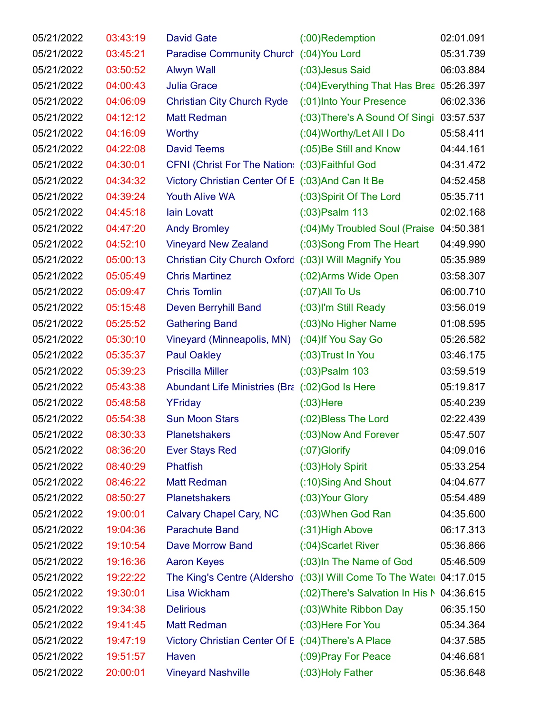| 05/21/2022 | 03:43:19 | <b>David Gate</b>                                    | $(0.00)$ Redemption                                                 | 02:01.091 |
|------------|----------|------------------------------------------------------|---------------------------------------------------------------------|-----------|
| 05/21/2022 | 03:45:21 | Paradise Community Church (:04) You Lord             |                                                                     | 05:31.739 |
| 05/21/2022 | 03:50:52 | <b>Alwyn Wall</b>                                    | (:03) Jesus Said                                                    | 06:03.884 |
| 05/21/2022 | 04:00:43 | <b>Julia Grace</b>                                   | (:04) Everything That Has Brea 05:26.397                            |           |
| 05/21/2022 | 04:06:09 | <b>Christian City Church Ryde</b>                    | (:01)Into Your Presence                                             | 06:02.336 |
| 05/21/2022 | 04:12:12 | <b>Matt Redman</b>                                   | (:03) There's A Sound Of Singi                                      | 03:57.537 |
| 05/21/2022 | 04:16:09 | Worthy                                               | (:04) Worthy/Let All I Do                                           | 05:58.411 |
| 05/21/2022 | 04:22:08 | <b>David Teems</b>                                   | (:05)Be Still and Know                                              | 04:44.161 |
| 05/21/2022 | 04:30:01 | CFNI (Christ For The Nation: (:03) Faithful God      |                                                                     | 04:31.472 |
| 05/21/2022 | 04:34:32 | Victory Christian Center Of E (:03)And Can It Be     |                                                                     | 04:52.458 |
| 05/21/2022 | 04:39:24 | <b>Youth Alive WA</b>                                | (:03) Spirit Of The Lord                                            | 05:35.711 |
| 05/21/2022 | 04:45:18 | <b>lain Lovatt</b>                                   | $(03)$ Psalm 113                                                    | 02:02.168 |
| 05/21/2022 | 04:47:20 | <b>Andy Bromley</b>                                  | (:04) My Troubled Soul (Praise                                      | 04:50.381 |
| 05/21/2022 | 04:52:10 | <b>Vineyard New Zealand</b>                          | (:03) Song From The Heart                                           | 04:49.990 |
| 05/21/2022 | 05:00:13 | Christian City Church Oxford (:03)I Will Magnify You |                                                                     | 05:35.989 |
| 05/21/2022 | 05:05:49 | <b>Chris Martinez</b>                                | (:02) Arms Wide Open                                                | 03:58.307 |
| 05/21/2022 | 05:09:47 | <b>Chris Tomlin</b>                                  | $(07)$ All To Us                                                    | 06:00.710 |
| 05/21/2022 | 05:15:48 | Deven Berryhill Band                                 | (:03)I'm Still Ready                                                | 03:56.019 |
| 05/21/2022 | 05:25:52 | <b>Gathering Band</b>                                | (:03) No Higher Name                                                | 01:08.595 |
| 05/21/2022 | 05:30:10 | Vineyard (Minneapolis, MN)                           | (:04) If You Say Go                                                 | 05:26.582 |
| 05/21/2022 | 05:35:37 | <b>Paul Oakley</b>                                   | (:03) Trust In You                                                  | 03:46.175 |
| 05/21/2022 | 05:39:23 | <b>Priscilla Miller</b>                              | $(0.03)$ Psalm 103                                                  | 03:59.519 |
| 05/21/2022 | 05:43:38 | Abundant Life Ministries (Bra (:02)God Is Here       |                                                                     | 05:19.817 |
| 05/21/2022 | 05:48:58 | YFriday                                              | $(03)$ Here                                                         | 05:40.239 |
| 05/21/2022 | 05:54:38 | <b>Sun Moon Stars</b>                                | (:02)Bless The Lord                                                 | 02:22.439 |
| 05/21/2022 | 08:30:33 | <b>Planetshakers</b>                                 | (:03) Now And Forever                                               | 05:47.507 |
| 05/21/2022 | 08:36:20 | <b>Ever Stays Red</b>                                | $(07)$ Glorify                                                      | 04:09.016 |
| 05/21/2022 | 08:40:29 | Phatfish                                             | (:03) Holy Spirit                                                   | 05:33.254 |
| 05/21/2022 | 08:46:22 | <b>Matt Redman</b>                                   | (:10)Sing And Shout                                                 | 04:04.677 |
| 05/21/2022 | 08:50:27 | <b>Planetshakers</b>                                 | (:03) Your Glory                                                    | 05:54.489 |
| 05/21/2022 | 19:00:01 | Calvary Chapel Cary, NC                              | (:03) When God Ran                                                  | 04:35.600 |
| 05/21/2022 | 19:04:36 | <b>Parachute Band</b>                                | (:31) High Above                                                    | 06:17.313 |
| 05/21/2022 | 19:10:54 | Dave Morrow Band                                     | (:04) Scarlet River                                                 | 05:36.866 |
| 05/21/2022 | 19:16:36 | <b>Aaron Keyes</b>                                   | (:03) In The Name of God                                            | 05:46.509 |
| 05/21/2022 | 19:22:22 |                                                      | The King's Centre (Aldersho (:03)I Will Come To The Watel 04:17.015 |           |
| 05/21/2022 | 19:30:01 | Lisa Wickham                                         | (:02) There's Salvation In His N 04:36.615                          |           |
| 05/21/2022 | 19:34:38 | <b>Delirious</b>                                     | (:03) White Ribbon Day                                              | 06:35.150 |
| 05/21/2022 | 19:41:45 | <b>Matt Redman</b>                                   | (:03) Here For You                                                  | 05:34.364 |
| 05/21/2022 | 19:47:19 | Victory Christian Center Of E (:04) There's A Place  |                                                                     | 04:37.585 |
| 05/21/2022 | 19:51:57 | Haven                                                | (:09) Pray For Peace                                                | 04:46.681 |
| 05/21/2022 | 20:00:01 | <b>Vineyard Nashville</b>                            | (:03) Holy Father                                                   | 05:36.648 |